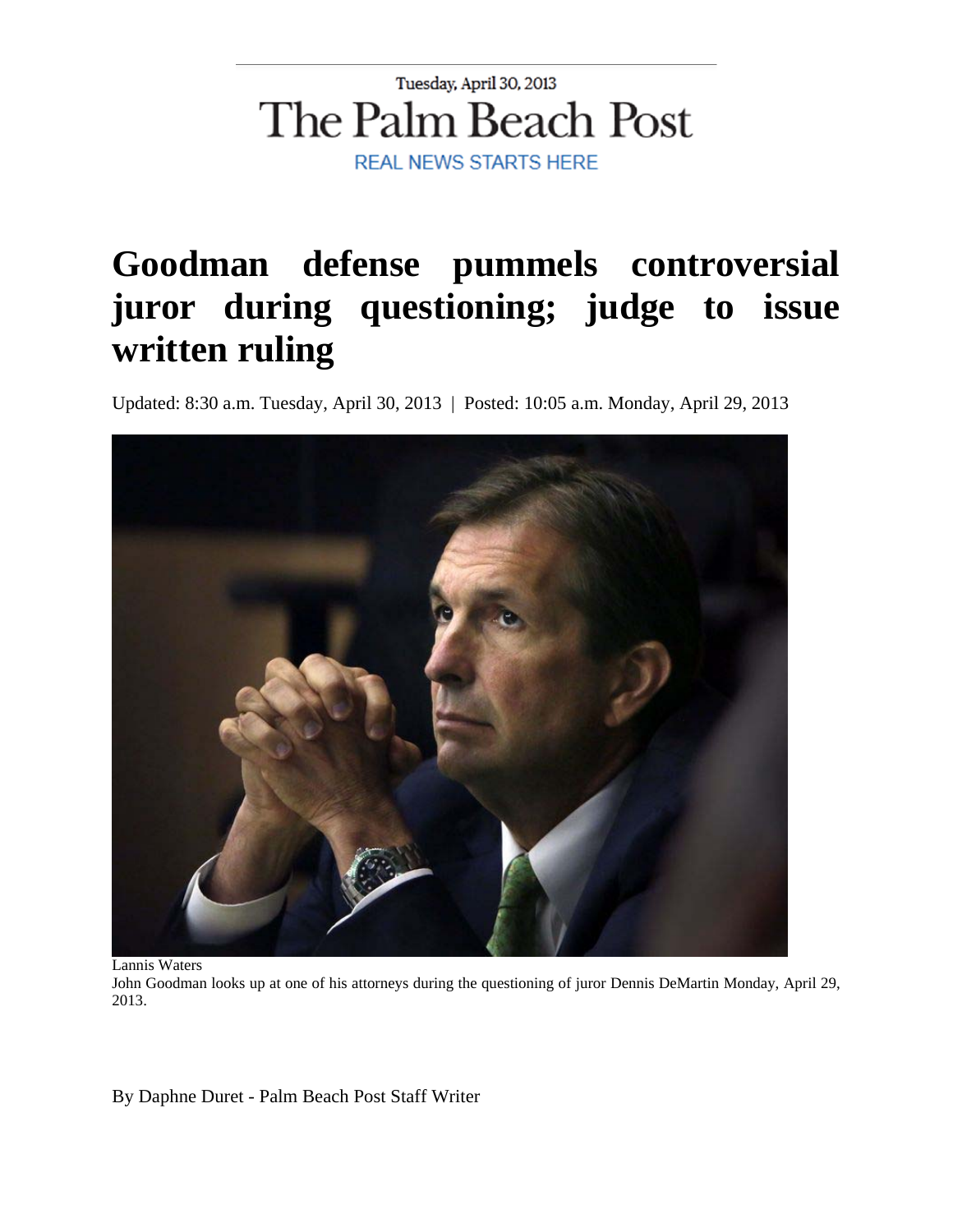## Tuesday, April 30, 2013 The Palm Beach Post **REAL NEWS STARTS HERE**

# **Goodman defense pummels controversial juror during questioning; judge to issue written ruling**

Updated: 8:30 a.m. Tuesday, April 30, 2013 | Posted: 10:05 a.m. Monday, April 29, 2013



Lannis Waters

John Goodman looks up at one of his attorneys during the questioning of juror Dennis DeMartin Monday, April 29, 2013.

By Daphne Duret - Palm Beach Post Staff Writer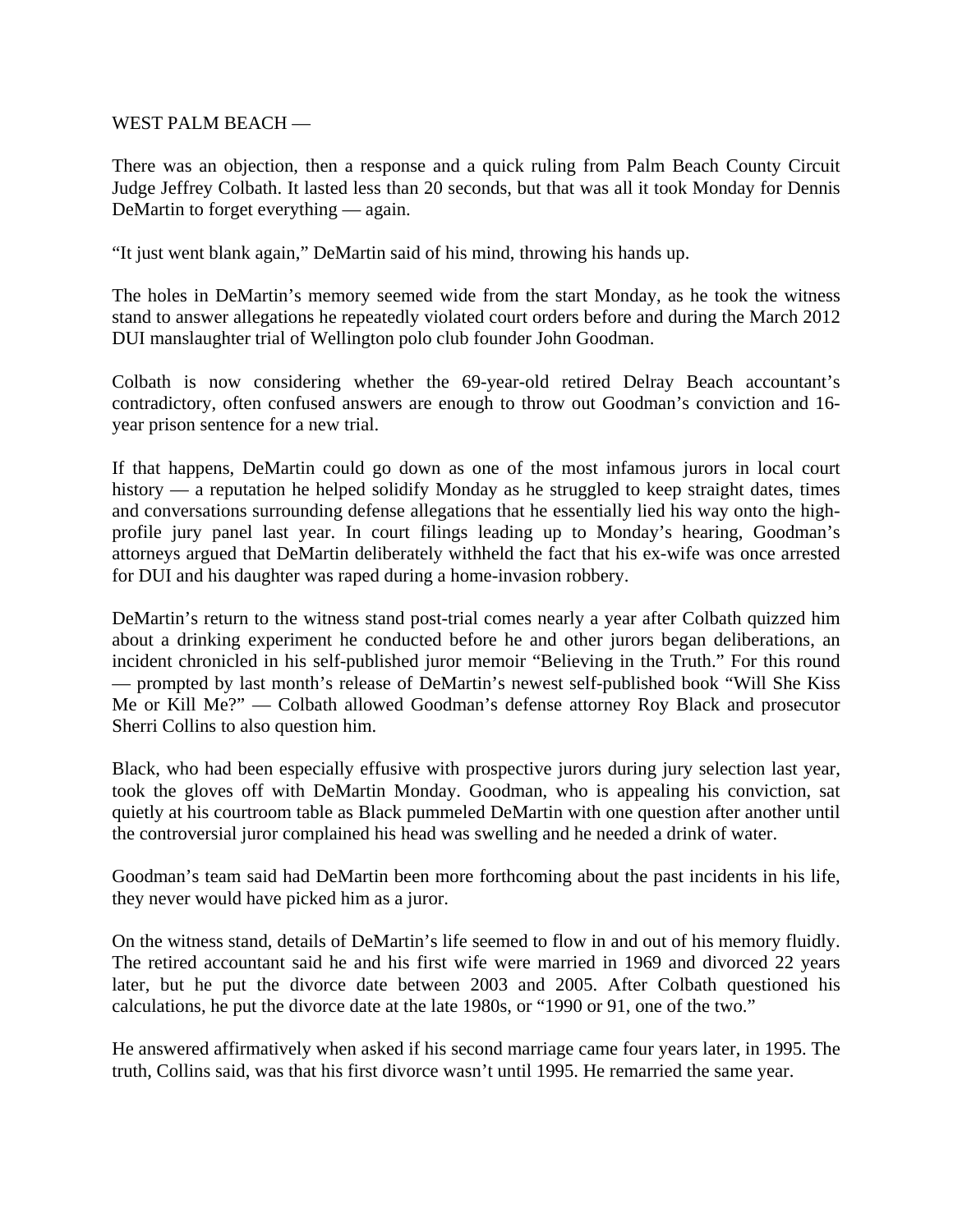WEST PALM BEACH —

There was an objection, then a response and a quick ruling from Palm Beach County Circuit Judge Jeffrey Colbath. It lasted less than 20 seconds, but that was all it took Monday for Dennis DeMartin to forget everything — again.

"It just went blank again," DeMartin said of his mind, throwing his hands up.

The holes in DeMartin's memory seemed wide from the start Monday, as he took the witness stand to answer allegations he repeatedly violated court orders before and during the March 2012 DUI manslaughter trial of Wellington polo club founder John Goodman.

Colbath is now considering whether the 69-year-old retired Delray Beach accountant's contradictory, often confused answers are enough to throw out Goodman's conviction and 16 year prison sentence for a new trial.

If that happens, DeMartin could go down as one of the most infamous jurors in local court history — a reputation he helped solidify Monday as he struggled to keep straight dates, times and conversations surrounding defense allegations that he essentially lied his way onto the highprofile jury panel last year. In court filings leading up to Monday's hearing, Goodman's attorneys argued that DeMartin deliberately withheld the fact that his ex-wife was once arrested for DUI and his daughter was raped during a home-invasion robbery.

DeMartin's return to the witness stand post-trial comes nearly a year after Colbath quizzed him about a drinking experiment he conducted before he and other jurors began deliberations, an incident chronicled in his self-published juror memoir "Believing in the Truth." For this round — prompted by last month's release of DeMartin's newest self-published book "Will She Kiss Me or Kill Me?" — Colbath allowed Goodman's defense attorney Roy Black and prosecutor Sherri Collins to also question him.

Black, who had been especially effusive with prospective jurors during jury selection last year, took the gloves off with DeMartin Monday. Goodman, who is appealing his conviction, sat quietly at his courtroom table as Black pummeled DeMartin with one question after another until the controversial juror complained his head was swelling and he needed a drink of water.

Goodman's team said had DeMartin been more forthcoming about the past incidents in his life, they never would have picked him as a juror.

On the witness stand, details of DeMartin's life seemed to flow in and out of his memory fluidly. The retired accountant said he and his first wife were married in 1969 and divorced 22 years later, but he put the divorce date between 2003 and 2005. After Colbath questioned his calculations, he put the divorce date at the late 1980s, or "1990 or 91, one of the two."

He answered affirmatively when asked if his second marriage came four years later, in 1995. The truth, Collins said, was that his first divorce wasn't until 1995. He remarried the same year.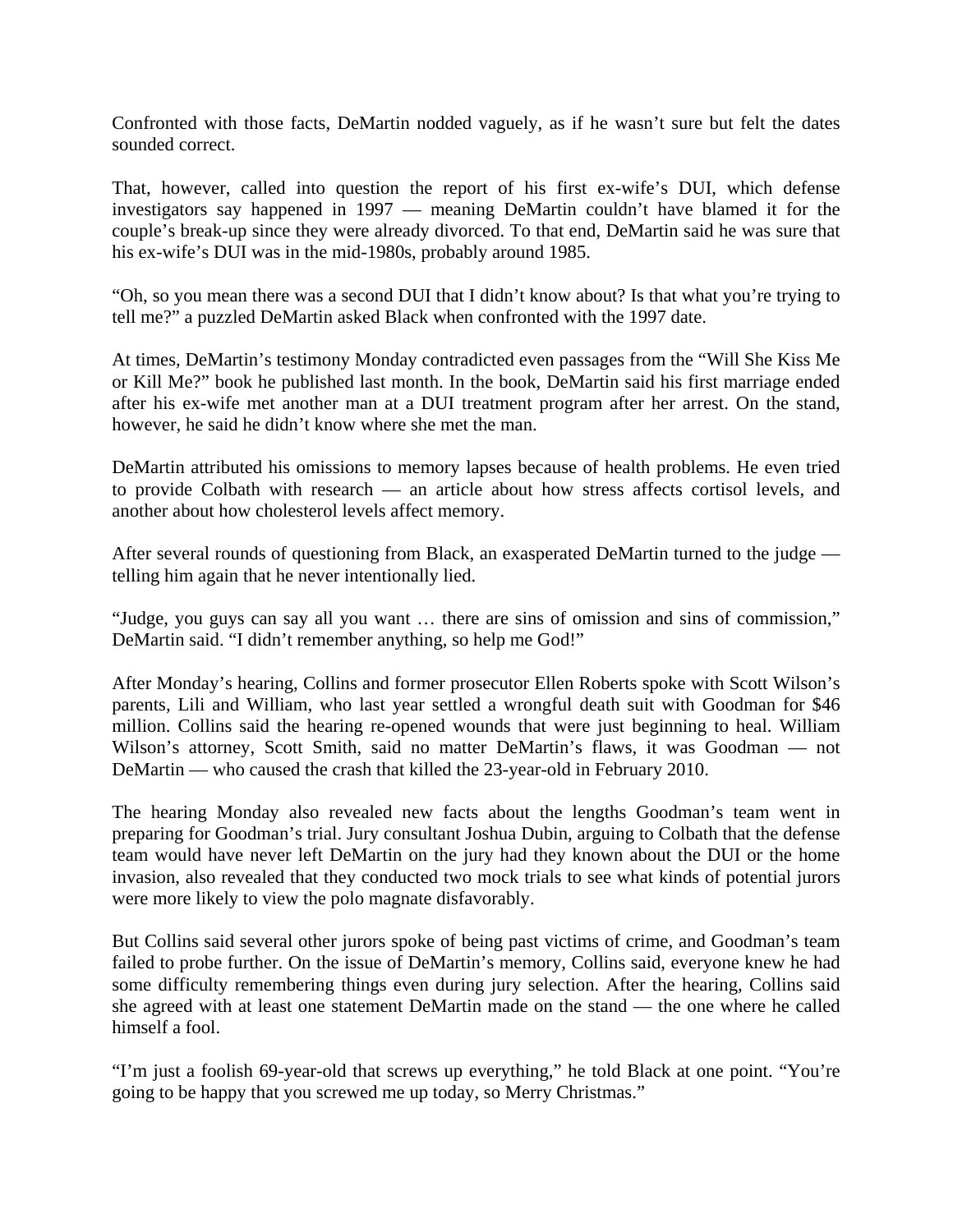Confronted with those facts, DeMartin nodded vaguely, as if he wasn't sure but felt the dates sounded correct.

That, however, called into question the report of his first ex-wife's DUI, which defense investigators say happened in 1997 — meaning DeMartin couldn't have blamed it for the couple's break-up since they were already divorced. To that end, DeMartin said he was sure that his ex-wife's DUI was in the mid-1980s, probably around 1985.

"Oh, so you mean there was a second DUI that I didn't know about? Is that what you're trying to tell me?" a puzzled DeMartin asked Black when confronted with the 1997 date.

At times, DeMartin's testimony Monday contradicted even passages from the "Will She Kiss Me or Kill Me?" book he published last month. In the book, DeMartin said his first marriage ended after his ex-wife met another man at a DUI treatment program after her arrest. On the stand, however, he said he didn't know where she met the man.

DeMartin attributed his omissions to memory lapses because of health problems. He even tried to provide Colbath with research — an article about how stress affects cortisol levels, and another about how cholesterol levels affect memory.

After several rounds of questioning from Black, an exasperated DeMartin turned to the judge telling him again that he never intentionally lied.

"Judge, you guys can say all you want … there are sins of omission and sins of commission," DeMartin said. "I didn't remember anything, so help me God!"

After Monday's hearing, Collins and former prosecutor Ellen Roberts spoke with Scott Wilson's parents, Lili and William, who last year settled a wrongful death suit with Goodman for \$46 million. Collins said the hearing re-opened wounds that were just beginning to heal. William Wilson's attorney, Scott Smith, said no matter DeMartin's flaws, it was Goodman — not DeMartin — who caused the crash that killed the 23-year-old in February 2010.

The hearing Monday also revealed new facts about the lengths Goodman's team went in preparing for Goodman's trial. Jury consultant Joshua Dubin, arguing to Colbath that the defense team would have never left DeMartin on the jury had they known about the DUI or the home invasion, also revealed that they conducted two mock trials to see what kinds of potential jurors were more likely to view the polo magnate disfavorably.

But Collins said several other jurors spoke of being past victims of crime, and Goodman's team failed to probe further. On the issue of DeMartin's memory, Collins said, everyone knew he had some difficulty remembering things even during jury selection. After the hearing, Collins said she agreed with at least one statement DeMartin made on the stand — the one where he called himself a fool.

"I'm just a foolish 69-year-old that screws up everything," he told Black at one point. "You're going to be happy that you screwed me up today, so Merry Christmas."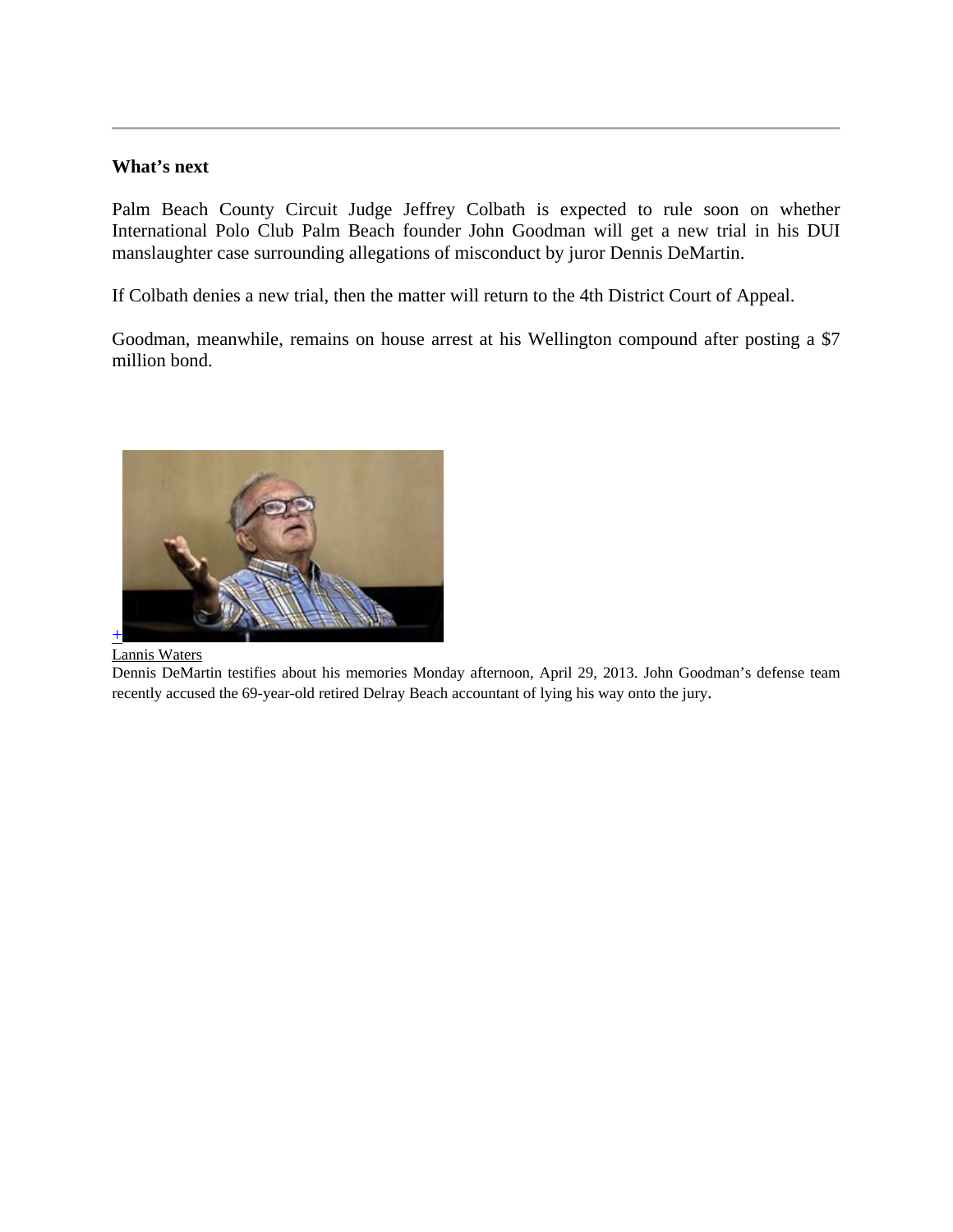### **What's next**

Palm Beach County Circuit Judge Jeffrey Colbath is expected to rule soon on whether International Polo Club Palm Beach founder John Goodman will get a new trial in his DUI manslaughter case surrounding allegations of misconduct by juror Dennis DeMartin.

If Colbath denies a new trial, then the matter will return to the 4th District Court of Appeal.

Goodman, meanwhile, remains on house arrest at his Wellington compound after posting a \$7 million bond.



#### Lannis Waters

Dennis DeMartin testifies about his memories Monday afternoon, April 29, 2013. John Goodman's defense team recently accused the 69-year-old retired Delray Beach accountant of lying his way onto the jury.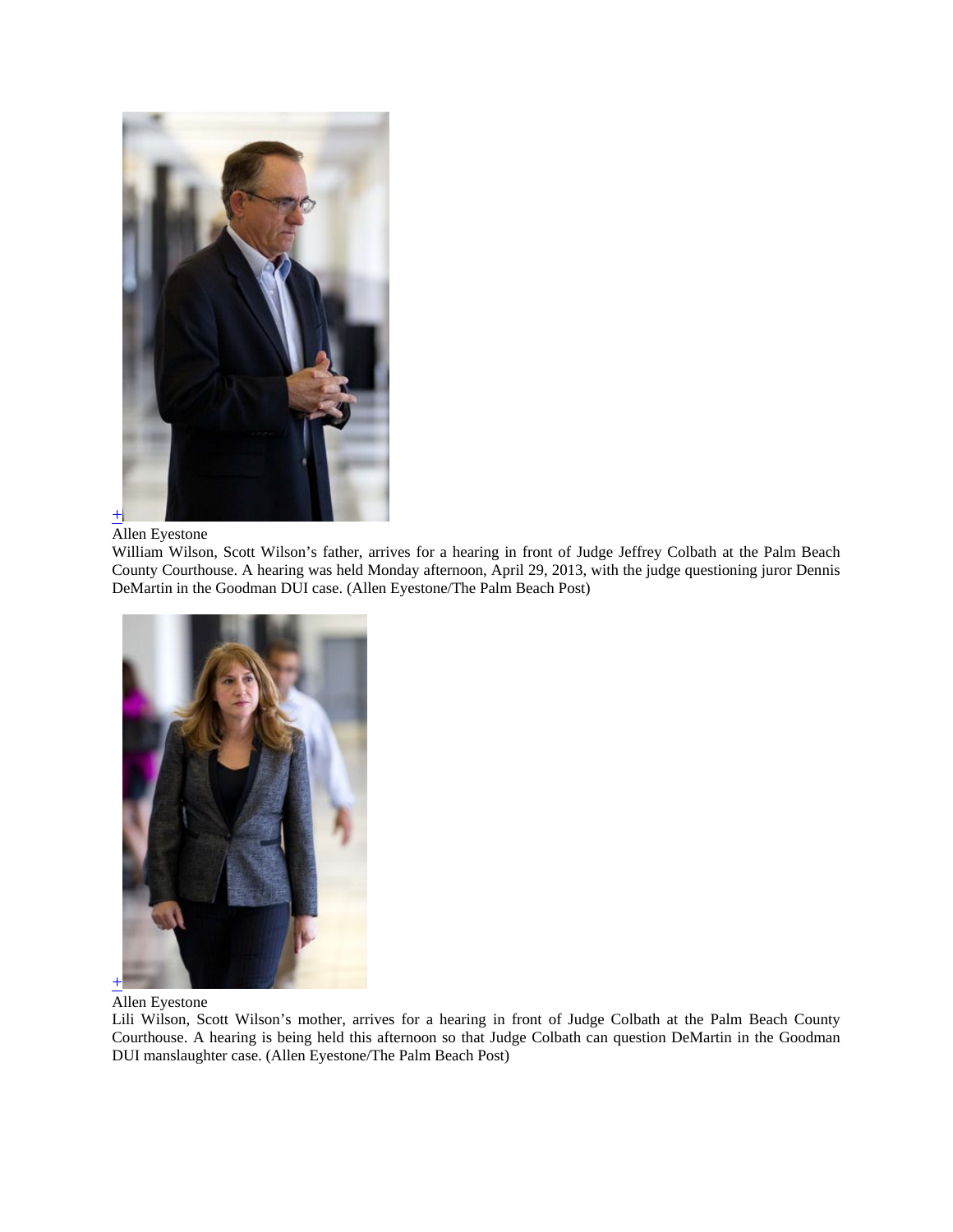

#### Allen Eyestone

William Wilson, Scott Wilson's father, arrives for a hearing in front of Judge Jeffrey Colbath at the Palm Beach County Courthouse. A hearing was held Monday afternoon, April 29, 2013, with the judge questioning juror Dennis DeMartin in the Goodman DUI case. (Allen Eyestone/The Palm Beach Post)



Allen Eyestone

Lili Wilson, Scott Wilson's mother, arrives for a hearing in front of Judge Colbath at the Palm Beach County Courthouse. A hearing is being held this afternoon so that Judge Colbath can question DeMartin in the Goodman DUI manslaughter case. (Allen Eyestone/The Palm Beach Post)